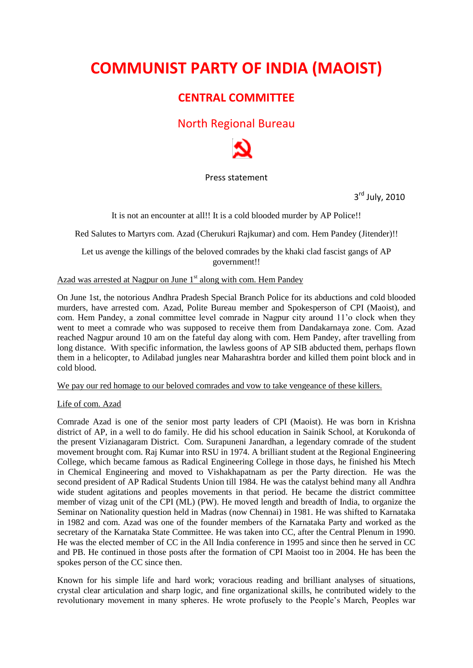# **COMMUNIST PARTY OF INDIA (MAOIST)**

# **CENTRAL COMMITTEE**

# North Regional Bureau



# Press statement

3<sup>rd</sup> July, 2010

It is not an encounter at all!! It is a cold blooded murder by AP Police!!

Red Salutes to Martyrs com. Azad (Cherukuri Rajkumar) and com. Hem Pandey (Jitender)!!

Let us avenge the killings of the beloved comrades by the khaki clad fascist gangs of AP government!!

## Azad was arrested at Nagpur on June  $1<sup>st</sup>$  along with com. Hem Pandey

On June 1st, the notorious Andhra Pradesh Special Branch Police for its abductions and cold blooded murders, have arrested com. Azad, Polite Bureau member and Spokesperson of CPI (Maoist), and com. Hem Pandey, a zonal committee level comrade in Nagpur city around 11'o clock when they went to meet a comrade who was supposed to receive them from Dandakarnaya zone. Com. Azad reached Nagpur around 10 am on the fateful day along with com. Hem Pandey, after travelling from long distance. With specific information, the lawless goons of AP SIB abducted them, perhaps flown them in a helicopter, to Adilabad jungles near Maharashtra border and killed them point block and in cold blood.

We pay our red homage to our beloved comrades and vow to take vengeance of these killers.

# Life of com. Azad

Comrade Azad is one of the senior most party leaders of CPI (Maoist). He was born in Krishna district of AP, in a well to do family. He did his school education in Sainik School, at Korukonda of the present Vizianagaram District. Com. Surapuneni Janardhan, a legendary comrade of the student movement brought com. Raj Kumar into RSU in 1974. A brilliant student at the Regional Engineering College, which became famous as Radical Engineering College in those days, he finished his Mtech in Chemical Engineering and moved to Vishakhapatnam as per the Party direction. He was the second president of AP Radical Students Union till 1984. He was the catalyst behind many all Andhra wide student agitations and peoples movements in that period. He became the district committee member of vizag unit of the CPI (ML) (PW). He moved length and breadth of India, to organize the Seminar on Nationality question held in Madras (now Chennai) in 1981. He was shifted to Karnataka in 1982 and com. Azad was one of the founder members of the Karnataka Party and worked as the secretary of the Karnataka State Committee. He was taken into CC, after the Central Plenum in 1990. He was the elected member of CC in the All India conference in 1995 and since then he served in CC and PB. He continued in those posts after the formation of CPI Maoist too in 2004. He has been the spokes person of the CC since then.

Known for his simple life and hard work; voracious reading and brilliant analyses of situations, crystal clear articulation and sharp logic, and fine organizational skills, he contributed widely to the revolutionary movement in many spheres. He wrote profusely to the People's March, Peoples war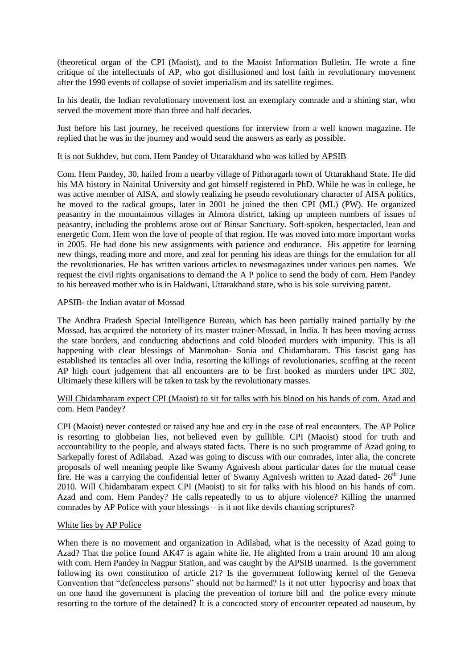(theoretical organ of the CPI (Maoist), and to the Maoist Information Bulletin. He wrote a fine critique of the intellectuals of AP, who got disillusioned and lost faith in revolutionary movement after the 1990 events of collapse of soviet imperialism and its satellite regimes.

In his death, the Indian revolutionary movement lost an exemplary comrade and a shining star, who served the movement more than three and half decades.

Just before his last journey, he received questions for interview from a well known magazine. He replied that he was in the journey and would send the answers as early as possible.

#### It is not Sukhdev, but com. Hem Pandey of Uttarakhand who was killed by APSIB

Com. Hem Pandey, 30, hailed from a nearby village of Pithoragarh town of Uttarakhand State. He did his MA history in Nainital University and got himself registered in PhD. While he was in college, he was active member of AISA, and slowly realizing he pseudo revolutionary character of AISA politics, he moved to the radical groups, later in 2001 he joined the then CPI (ML) (PW). He organized peasantry in the mountainous villages in Almora district, taking up umpteen numbers of issues of peasantry, including the problems arose out of Binsar Sanctuary. Soft-spoken, bespectacled, lean and energetic Com. Hem won the love of people of that region. He was moved into more important works in 2005. He had done his new assignments with patience and endurance. His appetite for learning new things, reading more and more, and zeal for penning his ideas are things for the emulation for all the revolutionaries. He has written various articles to newsmagazines under various pen names. We request the civil rights organisations to demand the A P police to send the body of com. Hem Pandey to his bereaved mother who is in Haldwani, Uttarakhand state, who is his sole surviving parent.

#### APSIB- the Indian avatar of Mossad

The Andhra Pradesh Special Intelligence Bureau, which has been partially trained partially by the Mossad, has acquired the notoriety of its master trainer-Mossad, in India. It has been moving across the state borders, and conducting abductions and cold blooded murders with impunity. This is all happening with clear blessings of Manmohan- Sonia and Chidambaram. This fascist gang has established its tentacles all over India, resorting the killings of revolutionaries, scoffing at the recent AP high court judgement that all encounters are to be first booked as murders under IPC 302, Ultimaely these killers will be taken to task by the revolutionary masses.

### Will Chidambaram expect CPI (Maoist) to sit for talks with his blood on his hands of com. Azad and com. Hem Pandey?

CPI (Maoist) never contested or raised any hue and cry in the case of real encounters. The AP Police is resorting to globbeian lies, not believed even by gullible. CPI (Maoist) stood for truth and accountability to the people, and always stated facts. There is no such programme of Azad going to Sarkepally forest of Adilabad. Azad was going to discuss with our comrades, inter alia, the concrete proposals of well meaning people like Swamy Agnivesh about particular dates for the mutual cease fire. He was a carrying the confidential letter of Swamy Agnivesh written to Azad dated-  $26<sup>th</sup>$  June 2010. Will Chidambaram expect CPI (Maoist) to sit for talks with his blood on his hands of com. Azad and com. Hem Pandey? He calls repeatedly to us to abjure violence? Killing the unarmed comrades by AP Police with your blessings – is it not like devils chanting scriptures?

#### White lies by AP Police

When there is no movement and organization in Adilabad, what is the necessity of Azad going to Azad? That the police found AK47 is again white lie. He alighted from a train around 10 am along with com. Hem Pandey in Nagpur Station, and was caught by the APSIB unarmed. Is the government following its own constitution of article 21? Is the government following kernel of the Geneva Convention that "defenceless persons" should not be harmed? Is it not utter hypocrisy and hoax that on one hand the government is placing the prevention of torture bill and the police every minute resorting to the torture of the detained? It is a concocted story of encounter repeated ad nauseum, by